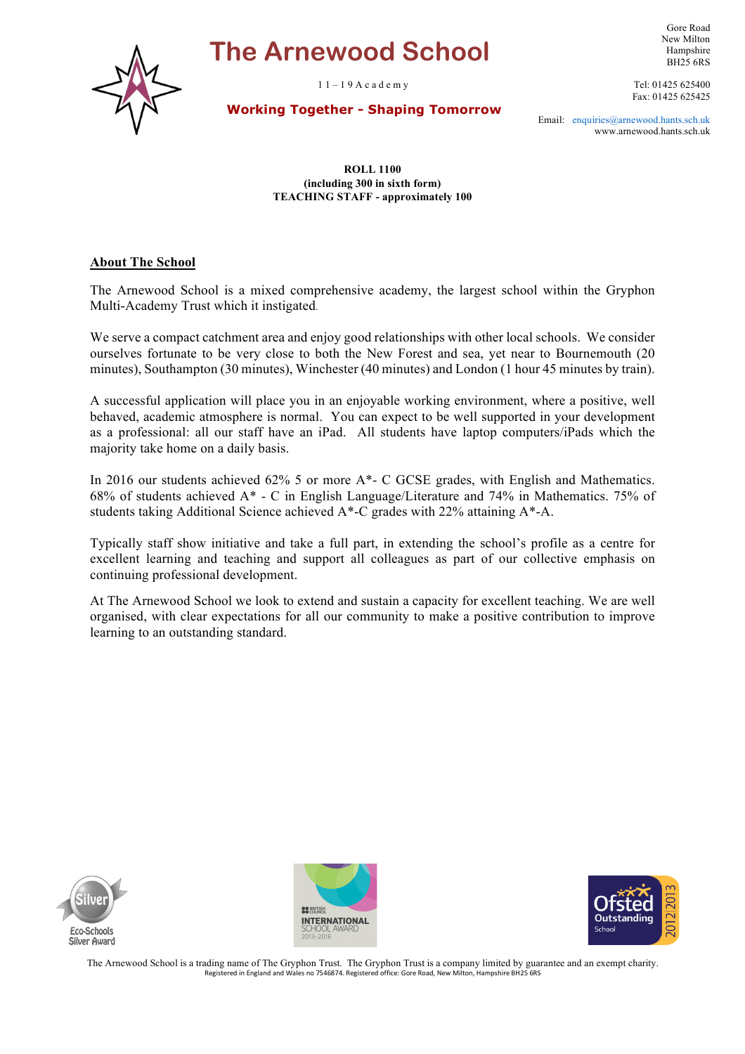# **The Arnewood School**



 $11 - 19$  A c a d e m y

New Milton Hampshire BH25 6RS

Gore Road

Tel: 01425 625400 Fax: 01425 625425

 **Working Together - Shaping Tomorrow**

Email: enquiries@arnewood.hants.sch.uk www.arnewood.hants.sch.uk

**ROLL 1100 (including 300 in sixth form) TEACHING STAFF - approximately 100**

## **About The School**

The Arnewood School is a mixed comprehensive academy, the largest school within the Gryphon Multi-Academy Trust which it instigated.

We serve a compact catchment area and enjoy good relationships with other local schools. We consider ourselves fortunate to be very close to both the New Forest and sea, yet near to Bournemouth (20 minutes), Southampton (30 minutes), Winchester (40 minutes) and London (1 hour 45 minutes by train).

A successful application will place you in an enjoyable working environment, where a positive, well behaved, academic atmosphere is normal. You can expect to be well supported in your development as a professional: all our staff have an iPad. All students have laptop computers/iPads which the majority take home on a daily basis.

In 2016 our students achieved 62% 5 or more A\*- C GCSE grades, with English and Mathematics. 68% of students achieved A\* - C in English Language/Literature and 74% in Mathematics. 75% of students taking Additional Science achieved A\*-C grades with 22% attaining A\*-A.

Typically staff show initiative and take a full part, in extending the school's profile as a centre for excellent learning and teaching and support all colleagues as part of our collective emphasis on continuing professional development.

At The Arnewood School we look to extend and sustain a capacity for excellent teaching. We are well organised, with clear expectations for all our community to make a positive contribution to improve learning to an outstanding standard.







The Arnewood School is a trading name of The Gryphon Trust. The Gryphon Trust is a company limited by guarantee and an exempt charity. Registered in England and Wales no 7546874. Registered office: Gore Road, New Milton, Hampshire BH25 6RS